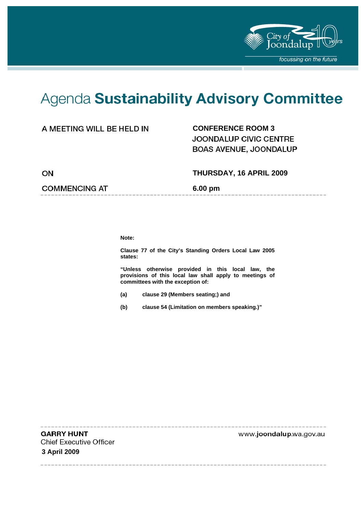

----------------

# Agenda Sustainability Advisory Committee

# **CONFERENCE ROOM 3**

JOONDALUP CIVIC CENTRE BOAS AVENUE, JOONDALUP

ON

**COMMENCING AT 6.00 pm** 

 **THURSDAY, 16 APRIL 2009** 

**Note:** 

**Clause 77 of the City's Standing Orders Local Law 2005 states:** 

**"Unless otherwise provided in this local law, the provisions of this local law shall apply to meetings of committees with the exception of:** 

- **(a) clause 29 (Members seating;) and**
- **(b) clause 54 (Limitation on members speaking.)"**

**GARRY HUNT Chief Executive Officer 3 April 2009** 

www.joondalup.wa.gov.au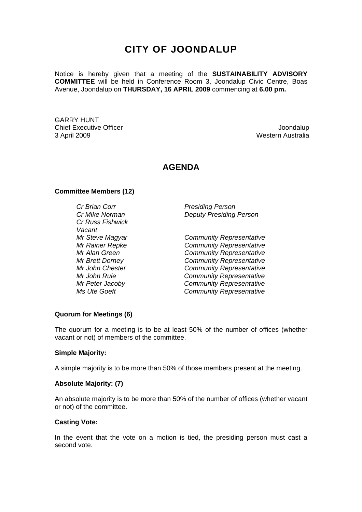# **CITY OF JOONDALUP**

Notice is hereby given that a meeting of the **SUSTAINABILITY ADVISORY COMMITTEE** will be held in Conference Room 3, Joondalup Civic Centre, Boas Avenue, Joondalup on **THURSDAY, 16 APRIL 2009** commencing at **6.00 pm.** 

GARRY HUNT Chief Executive Officer **Joondalup** 3 April 2009 Western Australia

# **AGENDA**

#### **Committee Members (12)**

*Cr Russ Fishwick Vacant* 

*Cr Brian Corr Presiding Person Cr Mike Norman Deputy Presiding Person* 

*Mr Steve Magyar Community Representative Mr Rainer Repke Community Representative Mr Alan Green Community Representative Mr Brett Dorney Community Representative Mr John Chester Community Representative*  **Community Representative** *Mr Peter Jacoby Community Representative Ms Ute Goeft Community Representative* 

#### **Quorum for Meetings (6)**

The quorum for a meeting is to be at least 50% of the number of offices (whether vacant or not) of members of the committee.

#### **Simple Majority:**

A simple majority is to be more than 50% of those members present at the meeting.

#### **Absolute Majority: (7)**

An absolute majority is to be more than 50% of the number of offices (whether vacant or not) of the committee.

#### **Casting Vote:**

In the event that the vote on a motion is tied, the presiding person must cast a second vote.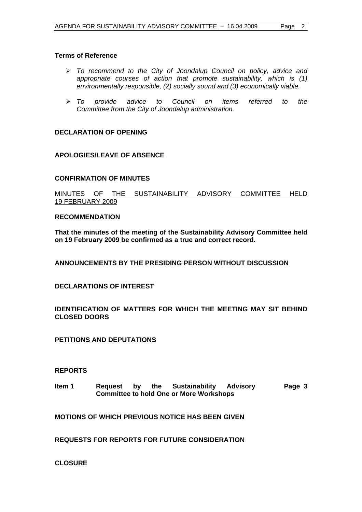#### **Terms of Reference**

- ¾ *To recommend to the City of Joondalup Council on policy, advice and appropriate courses of action that promote sustainability, which is (1) environmentally responsible, (2) socially sound and (3) economically viable.*
- ¾ *To provide advice to Council on items referred to the Committee from the City of Joondalup administration.*

#### **DECLARATION OF OPENING**

#### **APOLOGIES/LEAVE OF ABSENCE**

#### **CONFIRMATION OF MINUTES**

MINUTES OF THE SUSTAINABILITY ADVISORY COMMITTEE HELD 19 FEBRUARY 2009

#### **RECOMMENDATION**

**That the minutes of the meeting of the Sustainability Advisory Committee held on 19 February 2009 be confirmed as a true and correct record.** 

**ANNOUNCEMENTS BY THE PRESIDING PERSON WITHOUT DISCUSSION** 

#### **DECLARATIONS OF INTEREST**

**IDENTIFICATION OF MATTERS FOR WHICH THE MEETING MAY SIT BEHIND CLOSED DOORS** 

**PETITIONS AND DEPUTATIONS** 

#### **REPORTS**

**Item 1 Request by the Sustainability Advisory Committee to hold One or More Workshops Page 3** 

**MOTIONS OF WHICH PREVIOUS NOTICE HAS BEEN GIVEN** 

**REQUESTS FOR REPORTS FOR FUTURE CONSIDERATION** 

**CLOSURE**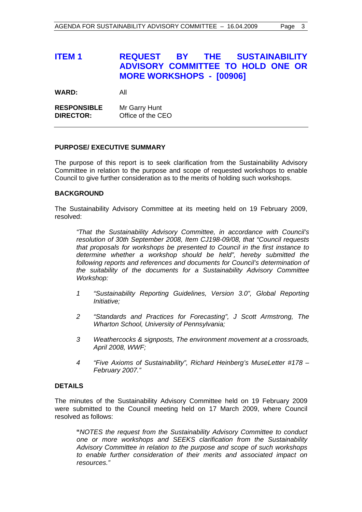**WARD:** All

**RESPONSIBLE** Mr Garry Hunt **DIRECTOR:** Office of the CEO

#### **PURPOSE/ EXECUTIVE SUMMARY**

The purpose of this report is to seek clarification from the Sustainability Advisory Committee in relation to the purpose and scope of requested workshops to enable Council to give further consideration as to the merits of holding such workshops.

#### **BACKGROUND**

The Sustainability Advisory Committee at its meeting held on 19 February 2009, resolved:

*"That the Sustainability Advisory Committee, in accordance with Council's resolution of 30th September 2008, Item CJ198-09/08, that "Council requests that proposals for workshops be presented to Council in the first instance to determine whether a workshop should be held", hereby submitted the following reports and references and documents for Council's determination of the suitability of the documents for a Sustainability Advisory Committee Workshop:* 

- *1 "Sustainability Reporting Guidelines, Version 3.0", Global Reporting Initiative;*
- *2 "Standards and Practices for Forecasting", J Scott Armstrong, The Wharton School, University of Pennsylvania;*
- *3 Weathercocks & signposts, The environment movement at a crossroads, April 2008, WWF;*
- *4 "Five Axioms of Sustainability", Richard Heinberg's MuseLetter #178 February 2007."*

# **DETAILS**

The minutes of the Sustainability Advisory Committee held on 19 February 2009 were submitted to the Council meeting held on 17 March 2009, where Council resolved as follows:

 **"***NOTES the request from the Sustainability Advisory Committee to conduct one or more workshops and SEEKS clarification from the Sustainability Advisory Committee in relation to the purpose and scope of such workshops to enable further consideration of their merits and associated impact on resources."*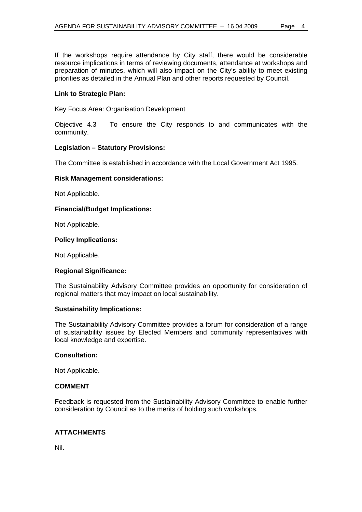If the workshops require attendance by City staff, there would be considerable resource implications in terms of reviewing documents, attendance at workshops and preparation of minutes, which will also impact on the City's ability to meet existing priorities as detailed in the Annual Plan and other reports requested by Council.

#### **Link to Strategic Plan:**

Key Focus Area: Organisation Development

Objective 4.3 To ensure the City responds to and communicates with the community.

#### **Legislation – Statutory Provisions:**

The Committee is established in accordance with the Local Government Act 1995.

#### **Risk Management considerations:**

Not Applicable.

#### **Financial/Budget Implications:**

Not Applicable.

#### **Policy Implications:**

Not Applicable.

### **Regional Significance:**

The Sustainability Advisory Committee provides an opportunity for consideration of regional matters that may impact on local sustainability.

#### **Sustainability Implications:**

The Sustainability Advisory Committee provides a forum for consideration of a range of sustainability issues by Elected Members and community representatives with local knowledge and expertise.

#### **Consultation:**

Not Applicable.

#### **COMMENT**

Feedback is requested from the Sustainability Advisory Committee to enable further consideration by Council as to the merits of holding such workshops.

### **ATTACHMENTS**

Nil.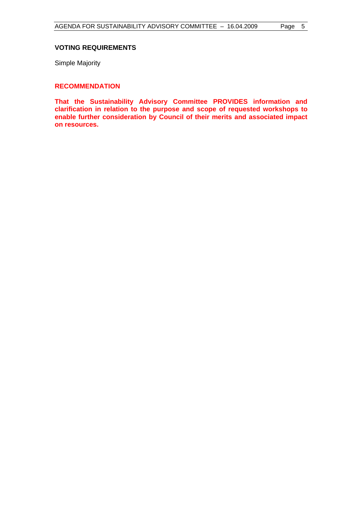#### **VOTING REQUIREMENTS**

Simple Majority

## **RECOMMENDATION**

**That the Sustainability Advisory Committee PROVIDES information and clarification in relation to the purpose and scope of requested workshops to enable further consideration by Council of their merits and associated impact on resources.**